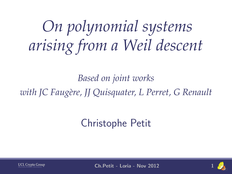*On polynomial systems arising from a Weil descent*

*Based on joint works with JC Faug`ere, JJ Quisquater, L Perret, G Renault*

## Christophe Petit



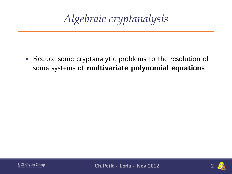*Algebraic cryptanalysis*

 $\triangleright$  Reduce some cryptanalytic problems to the resolution of some systems of multivariate polynomial equations



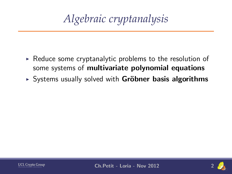- $\triangleright$  Reduce some cryptanalytic problems to the resolution of some systems of multivariate polynomial equations
- $\triangleright$  Systems usually solved with **Gröbner basis algorithms**



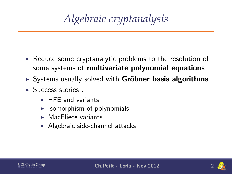- $\triangleright$  Reduce some cryptanalytic problems to the resolution of some systems of multivariate polynomial equations
- $\triangleright$  Systems usually solved with **Gröbner basis algorithms**
- $\blacktriangleright$  Success stories :
	- $\triangleright$  HFE and variants
	- $\blacktriangleright$  Isomorphism of polynomials
	- $\triangleright$  MacEliece variants
	- $\blacktriangleright$  Algebraic side-channel attacks



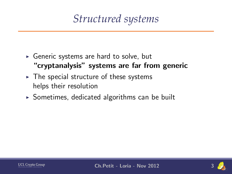*Structured systems*

- $\triangleright$  Generic systems are hard to solve, but "cryptanalysis" systems are far from generic
- $\triangleright$  The special structure of these systems helps their resolution
- $\triangleright$  Sometimes, dedicated algorithms can be built



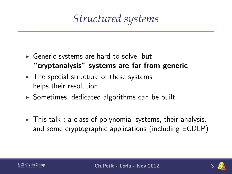*Structured systems*

- $\triangleright$  Generic systems are hard to solve, but "cryptanalysis" systems are far from generic
- $\triangleright$  The special structure of these systems helps their resolution
- $\triangleright$  Sometimes, dedicated algorithms can be built
- $\triangleright$  This talk : a class of polynomial systems, their analysis, and some cryptographic applications (including ECDLP)



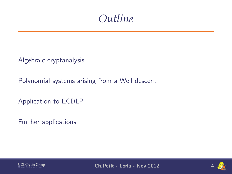

[Polynomial systems arising from a Weil descent](#page-35-0)

[Application to ECDLP](#page-73-0)

[Further applications](#page-118-0)



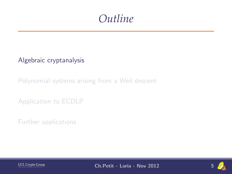### *Outline*

[Algebraic cryptanalysis](#page-7-0)

[Polynomial systems arising from a Weil descent](#page-35-0)

[Application to ECDLP](#page-73-0)

[Further applications](#page-118-0)



<span id="page-7-0"></span>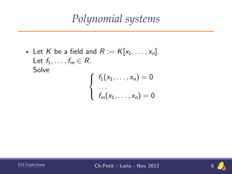*Polynomial systems*

Eet K be a field and  $R := K[x_1, \ldots, x_n]$ . Let  $f_1, \ldots, f_m \in R$ . **Solve** 

$$
\begin{cases} f_1(x_1,\ldots,x_n) = 0 \\ \ldots \\ f_m(x_1,\ldots,x_n) = 0 \end{cases}
$$



$$
6\frac{1}{2}
$$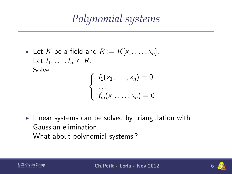## *Polynomial systems*

Elet K be a field and  $R := K[x_1, \ldots, x_n]$ . Let  $f_1, \ldots, f_m \in R$ . Solve

$$
\begin{cases}\nf_1(x_1,\ldots,x_n)=0\\ \ldots\\ \nf_m(x_1,\ldots,x_n)=0\end{cases}
$$

 $\triangleright$  Linear systems can be solved by triangulation with Gaussian elimination. What about polynomial systems ?



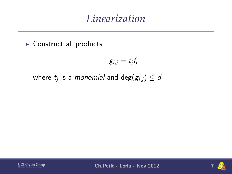$\triangleright$  Construct all products

$$
g_{i,j}=t_jf_i
$$

where  $t_j$  is a *monomial* and  $\deg(g_{i,j}) \leq d$ 



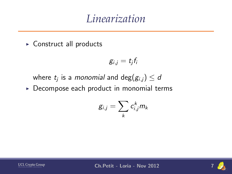$\triangleright$  Construct all products

$$
g_{i,j}=t_jf_i
$$

where  $t_j$  is a *monomial* and  $\deg(g_{i,j}) \leq d$ 

 $\triangleright$  Decompose each product in monomial terms

$$
g_{i,j}=\sum_k c_{i,j}^k m_k
$$



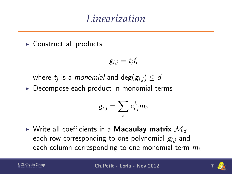$\triangleright$  Construct all products

$$
g_{i,j}=t_jf_i
$$

where  $t_j$  is a *monomial* and  $\deg(g_{i,j}) \leq d$ 

 $\triangleright$  Decompose each product in monomial terms

$$
g_{i,j}=\sum_k c_{i,j}^k m_k
$$

 $\triangleright$  Write all coefficients in a **Macaulay matrix**  $\mathcal{M}_d$ , each row corresponding to one polynomial  $g_{i,j}$  and each column corresponding to one monomial term  $m_k$ 



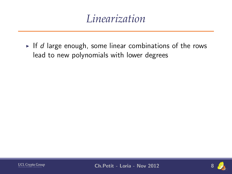If d large enough, some linear combinations of the rows lead to new polynomials with lower degrees



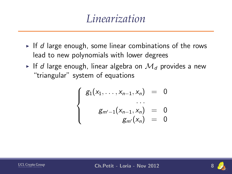- If d large enough, some linear combinations of the rows lead to new polynomials with lower degrees
- If d large enough, linear algebra on  $\mathcal{M}_d$  provides a new "triangular" system of equations

$$
\begin{cases}\n g_1(x_1, \ldots, x_{n-1}, x_n) = 0 \\
 \ldots \\
 g_{m'-1}(x_{n-1}, x_n) = 0 \\
 g_{m'}(x_n) = 0\n\end{cases}
$$



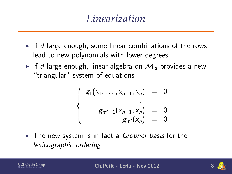- If d large enough, some linear combinations of the rows lead to new polynomials with lower degrees
- If d large enough, linear algebra on  $\mathcal{M}_d$  provides a new "triangular" system of equations

$$
\begin{cases}\n g_1(x_1, \ldots, x_{n-1}, x_n) = 0 \\
 \ldots \\
 g_{m'-1}(x_{n-1}, x_n) = 0 \\
 g_{m'}(x_n) = 0\n\end{cases}
$$

► The new system is in fact a Gröbner basis for the lexicographic ordering

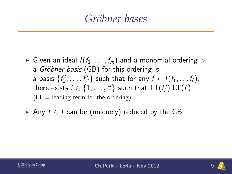## *Gr¨obner bases*

- Given an ideal  $I(f_1, \ldots, f_m)$  and a monomial ordering  $>$ , a Gröbner basis (GB) for this ordering is a basis  $\{f'_1, \ldots, f'_{\ell'}\}$  such that for any  $f \in I(f_1, \ldots f_{\ell}),$ there exists  $i \in \{1, \ldots, \ell'\}$  such that  $\mathrm{LT}(f'_i)|\mathrm{LT}(f)$  $(LT =$  leading term for the ordering)
- Any  $f \in I$  can be (uniquely) reduced by the GB

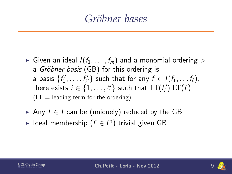## *Gr¨obner bases*

- Given an ideal  $I(f_1, \ldots, f_m)$  and a monomial ordering  $>$ , a Gröbner basis (GB) for this ordering is a basis  $\{f'_1, \ldots, f'_{\ell'}\}$  such that for any  $f \in I(f_1, \ldots f_{\ell}),$ there exists  $i \in \{1, \ldots, \ell'\}$  such that  $\mathrm{LT}(f'_i)|\mathrm{LT}(f)$  $(LT =$  leading term for the ordering)
- Any  $f \in I$  can be (uniquely) reduced by the GB
- ► Ideal membership ( $f \in I$ ?) trivial given GB



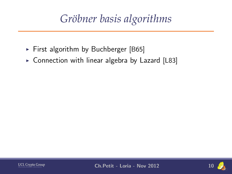## *Gr¨obner basis algorithms*

- First algorithm by Buchberger [B65]
- $\triangleright$  Connection with linear algebra by Lazard [L83]



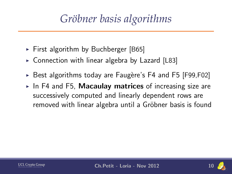## *Gr¨obner basis algorithms*

- $\triangleright$  First algorithm by Buchberger [B65]
- $\triangleright$  Connection with linear algebra by Lazard [L83]
- Best algorithms today are Faugère's F4 and F5 [F99,F02]
- $\blacktriangleright$  In F4 and F5, Macaulay matrices of increasing size are successively computed and linearly dependent rows are removed with linear algebra until a Gröbner basis is found

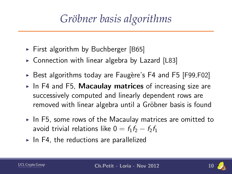## *Gr¨obner basis algorithms*

- $\triangleright$  First algorithm by Buchberger [B65]
- $\triangleright$  Connection with linear algebra by Lazard [L83]
- $\triangleright$  Best algorithms today are Faugère's F4 and F5 [F99,F02]
- $\blacktriangleright$  In F4 and F5, Macaulay matrices of increasing size are successively computed and linearly dependent rows are removed with linear algebra until a Gröbner basis is found
- $\triangleright$  In F5, some rows of the Macaulay matrices are omitted to avoid trivial relations like  $0 = f_1f_2 - f_2f_1$
- $\triangleright$  In F4, the reductions are parallelized

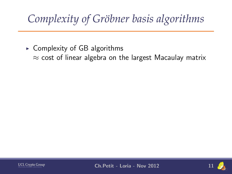$\triangleright$  Complexity of GB algorithms  $\approx$  cost of linear algebra on the largest Macaulay matrix



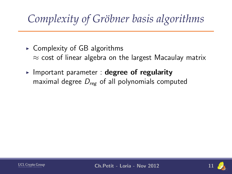- $\triangleright$  Complexity of GB algorithms  $\approx$  cost of linear algebra on the largest Macaulay matrix
- Important parameter : degree of regularity maximal degree  $D_{\text{ref}}$  of all polynomials computed



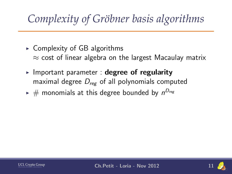- $\triangleright$  Complexity of GB algorithms  $\approx$  cost of linear algebra on the largest Macaulay matrix
- Important parameter : degree of regularity maximal degree  $D_{\text{ref}}$  of all polynomials computed
- $\blacktriangleright$   $\#$  monomials at this degree bounded by  $n^{D_{reg}}$



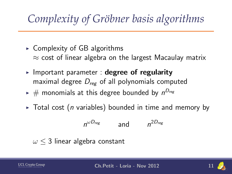- $\triangleright$  Complexity of GB algorithms  $\approx$  cost of linear algebra on the largest Macaulay matrix
- Important parameter : degree of regularity maximal degree  $D_{\text{ref}}$  of all polynomials computed
- $\blacktriangleright$   $\#$  monomials at this degree bounded by  $n^{D_{reg}}$
- $\triangleright$  Total cost (*n* variables) bounded in time and memory by

$$
n^{\omega D_{reg}} \qquad \text{and} \qquad n^{2D_{reg}}
$$

$$
\omega \leq 3
$$
 linear algebra constant

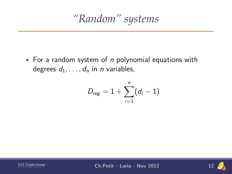*"Random" systems*

For a random system of  $n$  polynomial equations with degrees  $d_1, \ldots, d_n$  in *n* variables,

$$
D_{reg}=1+\sum_{i=1}^n(d_i-1)
$$



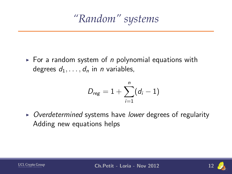*"Random" systems*

 $\triangleright$  For a random system of *n* polynomial equations with degrees  $d_1, \ldots, d_n$  in *n* variables,

$$
D_{\mathsf{reg}} = 1 + \sum_{i=1}^n (d_i-1)
$$

 $\rightarrow$  Overdetermined systems have lower degrees of regularity Adding new equations helps



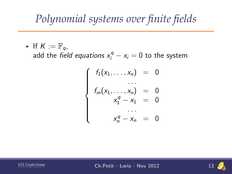## *Polynomial systems over finite fields*

If  $K := \mathbb{F}_q$ ,

add the *field equations*  $x_i^q - x_i = 0$  *to the system* 

$$
\begin{cases}\nf_1(x_1, \ldots, x_n) = 0 \\
\vdots \\
f_m(x_1, \ldots, x_n) = 0 \\
x_1^q - x_1 = 0 \\
\vdots \\
x_n^q - x_n = 0\n\end{cases}
$$



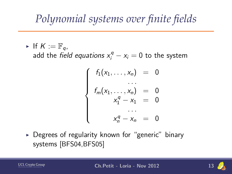## *Polynomial systems over finite fields*

If  $K := \mathbb{F}_q$ ,

add the *field equations*  $x_i^q - x_i = 0$  *to the system* 

$$
\begin{cases}\nf_1(x_1, \ldots, x_n) = 0 \\
\vdots \\
f_m(x_1, \ldots, x_n) = 0 \\
x_1^q - x_1 = 0 \\
\vdots \\
x_n^q - x_n = 0\n\end{cases}
$$

 $\triangleright$  Degrees of regularity known for "generic" binary systems [BFS04,BFS05]

$$
\underbrace{UCL}_{\text{Microelectrons}}\underbrace{Group}
$$

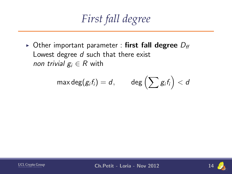*First fall degree*

 $\triangleright$  Other important parameter : first fall degree  $D_{ff}$ Lowest degree d such that there exist *non trivial*  $g_i \in R$  with

$$
\max \deg(g_if_i)=d, \qquad \deg\left(\sum g_if_i\right)
$$



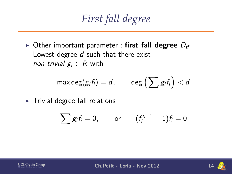*First fall degree*

 $\triangleright$  Other important parameter : first fall degree  $D_{\text{ff}}$ Lowest degree d such that there exist non trivial  $g_i \in R$  with

$$
\max \deg(g_if_i)=d, \qquad \deg\left(\sum g_if_i\right)
$$

 $\triangleright$  Trivial degree fall relations

$$
\sum g_i f_i = 0, \quad \text{or} \quad (f_i^{q-1} - 1) f_i = 0
$$



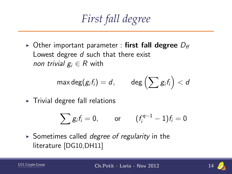*First fall degree*

 $\triangleright$  Other important parameter : first fall degree  $D_{\text{ff}}$ Lowest degree d such that there exist non trivial  $g_i \in R$  with

$$
\max \deg(g_if_i)=d, \qquad \deg\left(\sum g_if_i\right)
$$

 $\triangleright$  Trivial degree fall relations

$$
\sum g_i f_i = 0, \quad \text{or} \quad (f_i^{q-1} - 1) f_i = 0
$$

 $\triangleright$  Sometimes called *degree of regularity* in the literature [DG10,DH11]

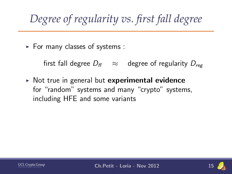# *Degree of regularity vs. first fall degree*

 $\blacktriangleright$  For many classes of systems :

first fall degree  $D_{ff} \approx$  degree of regularity  $D_{ref}$ 

 $\triangleright$  Not true in general but experimental evidence for "random" systems and many "crypto" systems, including HFE and some variants

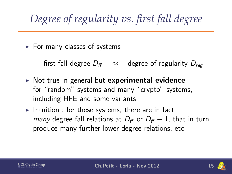# *Degree of regularity vs. first fall degree*

 $\blacktriangleright$  For many classes of systems :

first fall degree  $D_{ff} \approx$  degree of regularity  $D_{r \sim g}$ 

- $\triangleright$  Not true in general but experimental evidence for "random" systems and many "crypto" systems, including HFE and some variants
- Intuition : for these systems, there are in fact *many* degree fall relations at  $D_f$  or  $D_f$  + 1, that in turn produce many further lower degree relations, etc



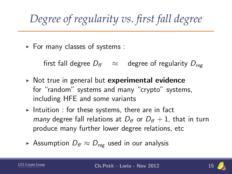# *Degree of regularity vs. first fall degree*

 $\blacktriangleright$  For many classes of systems :

first fall degree  $D_f \approx$  degree of regularity  $D_{r \sim r}$ 

- $\triangleright$  Not true in general but experimental evidence for "random" systems and many "crypto" systems, including HFE and some variants
- Intuition : for these systems, there are in fact *many* degree fall relations at  $D_f$  or  $D_f$  + 1, that in turn produce many further lower degree relations, etc
- ► Assumption  $D_f \approx D_{reg}$  used in our analysis

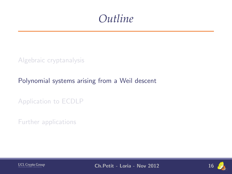

#### [Polynomial systems arising from a Weil descent](#page-35-0)

[Application to ECDLP](#page-73-0)

[Further applications](#page-118-0)



<span id="page-35-0"></span>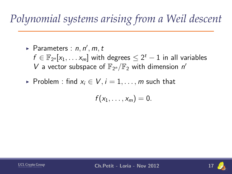- $\blacktriangleright$  Parameters :  $n, n', m, t$  $f \in \mathbb{F}_{2^n}[x_1,\ldots x_m]$  with degrees  $\leq 2^t-1$  in all variables V a vector subspace of  $\mathbb{F}_{2^n}/\mathbb{F}_2$  with dimension n'
- ► Problem : find  $x_i \in V$ ,  $i = 1, \ldots, m$  such that

$$
f(x_1,\ldots,x_m)=0.
$$



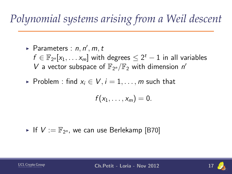- $\blacktriangleright$  Parameters :  $n, n', m, t$  $f \in \mathbb{F}_{2^n}[x_1,\ldots x_m]$  with degrees  $\leq 2^t-1$  in all variables V a vector subspace of  $\mathbb{F}_{2^n}/\mathbb{F}_2$  with dimension n'
- ► Problem : find  $x_i \in V$ ,  $i = 1, \ldots, m$  such that

$$
f(x_1,\ldots,x_m)=0.
$$

 $\blacktriangleright$  If  $V := \mathbb{F}_{2^n}$ , we can use Berlekamp [B70]



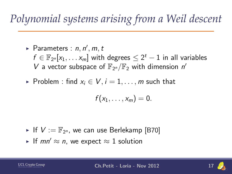- $\blacktriangleright$  Parameters :  $n, n', m, t$  $f \in \mathbb{F}_{2^n}[x_1,\ldots x_m]$  with degrees  $\leq 2^t-1$  in all variables V a vector subspace of  $\mathbb{F}_{2^n}/\mathbb{F}_2$  with dimension n'
- ► Problem : find  $x_i \in V$ ,  $i = 1, \ldots, m$  such that

$$
f(x_1,\ldots,x_m)=0.
$$

- $\blacktriangleright$  If  $V := \mathbb{F}_{2^n}$ , we can use Berlekamp [B70]
- If mn'  $\approx$  n, we expect  $\approx$  1 solution

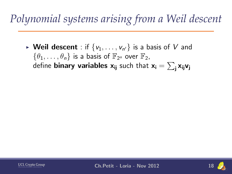$\blacktriangleright$  Weil descent : if  $\{v_1,\ldots,v_{n'}\}$  is a basis of  $V$  and  $\{\theta_1,\ldots,\theta_n\}$  is a basis of  $\mathbb{F}_{2^n}$  over  $\mathbb{F}_2$ , define **binary variables**  $\mathsf{x}_{\mathsf{i}\mathsf{j}}$  such that  $\mathsf{x}_{\mathsf{i}} = \sum_\mathsf{j} \mathsf{x}_{\mathsf{i}\mathsf{j}} \mathsf{v}_\mathsf{j}$ 



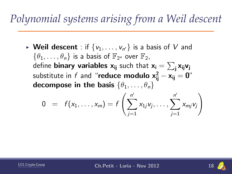$\blacktriangleright$  Weil descent : if  $\{v_1,\ldots,v_{n'}\}$  is a basis of  $V$  and  $\{\theta_1,\ldots,\theta_n\}$  is a basis of  $\mathbb{F}_{2^n}$  over  $\mathbb{F}_2$ , define **binary variables**  $\mathsf{x}_{\mathsf{i}\mathsf{j}}$  such that  $\mathsf{x}_{\mathsf{i}} = \sum_\mathsf{j} \mathsf{x}_{\mathsf{i}\mathsf{j}} \mathsf{v}_\mathsf{j}$ substitute in  $f$  and "**reduce modulo**  $\mathbf{x^2_{ij}} - \mathbf{x_{ij}} = \mathbf{0}$ " decompose in the basis  $\{\theta_1, \ldots, \theta_n\}$ 

$$
0 = f(x_1, ..., x_m) = f\left(\sum_{j=1}^{n'} x_{1j}v_j, ..., \sum_{j=1}^{n'} x_{mj}v_j\right)
$$



**UCL Crypto Group Ch.Petit - Loria - Nov 2012** 

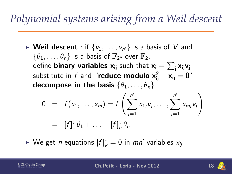$\blacktriangleright$  Weil descent : if  $\{v_1,\ldots,v_{n'}\}$  is a basis of  $V$  and  $\{\theta_1,\ldots,\theta_n\}$  is a basis of  $\mathbb{F}_{2^n}$  over  $\mathbb{F}_2$ , define **binary variables**  $\mathsf{x}_{\mathsf{i}\mathsf{j}}$  such that  $\mathsf{x}_{\mathsf{i}} = \sum_\mathsf{j} \mathsf{x}_{\mathsf{i}\mathsf{j}} \mathsf{v}_\mathsf{j}$ substitute in  $f$  and "**reduce modulo**  $\mathbf{x^2_{ij}} - \mathbf{x_{ij}} = \mathbf{0}$ " decompose in the basis  $\{\theta_1, \ldots, \theta_n\}$ 

$$
0 = f(x_1,...,x_m) = f\left(\sum_{j=1}^{n'} x_{1j}v_j,...,\sum_{j=1}^{n'} x_{mj}v_j\right)
$$
  
=  $[f]_1^{\downarrow} \theta_1 + ... + [f]_n^{\downarrow} \theta_n$ 

 $\blacktriangleright$  We get  $n$  equations  $[f]^{\downarrow}_{k} = 0$  in  $mn'$  variables  $x_{ij}$ 

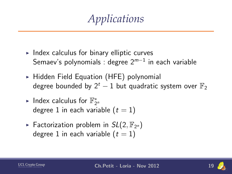*Applications*

- $\triangleright$  Index calculus for binary elliptic curves Semaev's polynomials : degree  $2^{m-1}$  in each variable
- $\triangleright$  Hidden Field Equation (HFE) polynomial degree bounded by  $2^t - 1$  but quadratic system over  $\mathbb{F}_2$
- ► Index calculus for  $\mathbb{F}_{2^n}^*$ degree 1 in each variable  $(t = 1)$
- Factorization problem in  $SL(2, \mathbb{F}_{2^n})$ degree 1 in each variable  $(t = 1)$



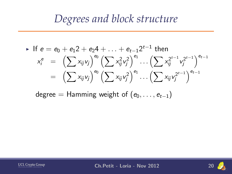#### *Degrees and block structure*

• If 
$$
e = e_0 + e_1 2 + e_2 4 + ... + e_{t-1} 2^{t-1}
$$
 then  
\n
$$
x_i^e = \left(\sum x_{ij} v_j\right)^{e_0} \left(\sum x_{ij}^2 v_j^2\right)^{e_1} ... \left(\sum x_{ij}^2 {x_{ij}^{t-1} v_j^{2^{t-1}}}\right)^{e_{t-1}}
$$
\n
$$
= \left(\sum x_{ij} v_j\right)^{e_0} \left(\sum x_{ij} v_j^2\right)^{e_1} ... \left(\sum x_{ij} {v_j^{2^{t-1}}}\right)^{e_{t-1}}
$$

degree = Hamming weight of  $(e_0, \ldots, e_{t-1})$ 



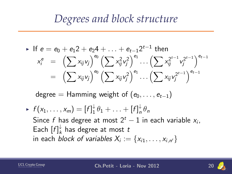#### *Degrees and block structure*

• If 
$$
e = e_0 + e_1 2 + e_2 4 + ... + e_{t-1} 2^{t-1}
$$
 then  
\n
$$
x_i^e = \left( \sum x_{ij} v_j \right)^{e_0} \left( \sum x_{ij}^2 v_j^2 \right)^{e_1} ... \left( \sum x_{ij}^{2^{t-1}} v_j^{2^{t-1}} \right)^{e_{t-1}}
$$
\n
$$
= \left( \sum x_{ij} v_j \right)^{e_0} \left( \sum x_{ij} v_j^2 \right)^{e_1} ... \left( \sum x_{ij} v_j^{2^{t-1}} \right)^{e_{t-1}}
$$

degree = Hamming weight of  $(e_0, \ldots, e_{t-1})$ 

 $\blacktriangleright$   $f(x_1,\ldots,x_m)=[f]_1^{\downarrow}$  $\frac{1}{1}\theta_1 + \ldots + [f]_n^{\downarrow}$  $n \nmid \theta_n$ Since f has degree at most  $2^t - 1$  in each variable  $x_i$ , Each  $[f]^\downarrow_k$  $\frac{1}{k}$  has degree at most  $t$ in each *block of variables*  $X_i := \{x_{i1}, \ldots, x_{i,n'}\}$ 



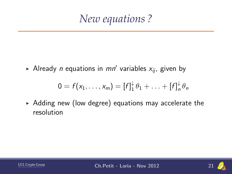$\blacktriangleright$  Already *n* equations in  $mn'$  variables  $x_{ij}$ , given by

$$
0 = f(x_1,\ldots,x_m) = [f]_1^{\downarrow} \theta_1 + \ldots + [f]_n^{\downarrow} \theta_n
$$

 $\triangleright$  Adding new (low degree) equations may accelerate the resolution



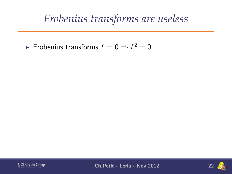► Frobenius transforms  $f=0 \Rightarrow f^2=0$ 



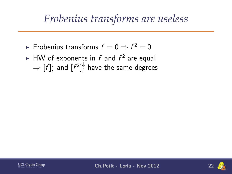- ► Frobenius transforms  $f=0 \Rightarrow f^2=0$
- $\blacktriangleright$  HW of exponents in  $f$  and  $f^2$  are equal  $\Rightarrow$   $[f]_i^{\downarrow}$  $\frac{1}{i}$  and  $[f^2]_i^{\downarrow}$  $_i^{\star}$  have the same degrees



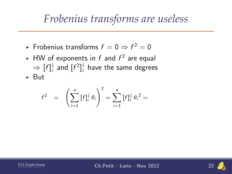- ► Frobenius transforms  $f=0 \Rightarrow f^2=0$
- $\blacktriangleright$  HW of exponents in  $f$  and  $f^2$  are equal  $\Rightarrow$   $[f]_i^{\downarrow}$  $\frac{1}{i}$  and  $[f^2]_i^{\downarrow}$  $_i^{\star}$  have the same degrees
- $\triangleright$  But

$$
f^{2} = \left(\sum_{i=1}^{n} [f]_{i}^{\downarrow} \theta_{i}\right)^{2} = \sum_{i=1}^{n} [f]_{i}^{\downarrow} \theta_{i}^{2} =
$$

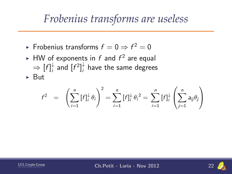- ► Frobenius transforms  $f=0 \Rightarrow f^2=0$
- $\blacktriangleright$  HW of exponents in  $f$  and  $f^2$  are equal  $\Rightarrow$   $[f]_i^{\downarrow}$  $\frac{1}{i}$  and  $[f^2]_i^{\downarrow}$  $_i^{\star}$  have the same degrees

 $\triangleright$  But

$$
f^{2} = \left(\sum_{i=1}^{n} [f]_{i}^{\downarrow} \theta_{i}\right)^{2} = \sum_{i=1}^{n} [f]_{i}^{\downarrow} \theta_{i}^{2} = \sum_{i=1}^{n} [f]_{i}^{\downarrow} \left(\sum_{j=1}^{n} a_{ij} \theta_{j}\right)
$$



**UCL Crypto Group Ch.Petit - Loria - Nov 2012** 

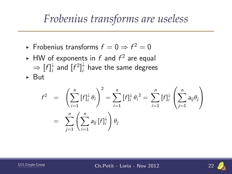- ► Frobenius transforms  $f=0 \Rightarrow f^2=0$
- $\blacktriangleright$  HW of exponents in  $f$  and  $f^2$  are equal  $\Rightarrow$   $[f]_i^{\downarrow}$  $\frac{1}{i}$  and  $[f^2]_i^{\downarrow}$  $_i^{\star}$  have the same degrees
- $\triangleright$  But

$$
f^{2} = \left(\sum_{i=1}^{n} [f]_{i}^{\downarrow} \theta_{i}\right)^{2} = \sum_{i=1}^{n} [f]_{i}^{\downarrow} \theta_{i}^{2} = \sum_{i=1}^{n} [f]_{i}^{\downarrow} \left(\sum_{j=1}^{n} a_{ij} \theta_{j}\right)
$$
  
= 
$$
\sum_{j=1}^{n} \left(\sum_{i=1}^{n} a_{ij} [f]_{i}^{\downarrow}\right) \theta_{j}
$$



**UCL Crypto Group Ch.Petit - Loria - Nov 2012** 

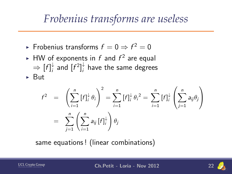- ► Frobenius transforms  $f=0 \Rightarrow f^2=0$
- $\blacktriangleright$  HW of exponents in  $f$  and  $f^2$  are equal  $\Rightarrow$   $[f]_i^{\downarrow}$  $\frac{1}{i}$  and  $[f^2]_i^{\downarrow}$  $_i^{\star}$  have the same degrees
- $\triangleright$  But

$$
f^{2} = \left(\sum_{i=1}^{n} [f]_{i}^{\downarrow} \theta_{i}\right)^{2} = \sum_{i=1}^{n} [f]_{i}^{\downarrow} \theta_{i}^{2} = \sum_{i=1}^{n} [f]_{i}^{\downarrow} \left(\sum_{j=1}^{n} a_{ij} \theta_{j}\right)
$$
  
= 
$$
\sum_{j=1}^{n} \left(\sum_{i=1}^{n} a_{ij} [f]_{i}^{\downarrow}\right) \theta_{j}
$$

same equations ! (linear combinations)



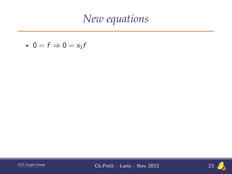$$
\quad \textcolor{gray}{\blacktriangleright} \ \ 0 = f \Rightarrow 0 = x_1 f
$$



**UCL Crypto Group Ch.Petit - Loria - Nov 2012** 23

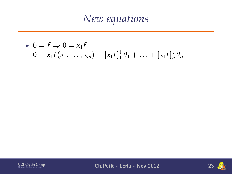▶ 0 = 
$$
f \Rightarrow 0 = x_1 f
$$
  
0 =  $x_1 f(x_1,...,x_m) = [x_1 f]_1^{\downarrow} \theta_1 + ... + [x_1 f]_n^{\downarrow} \theta_n$ 



**UCL Crypto Group Ch.Petit - Loria - Nov 2012** 23

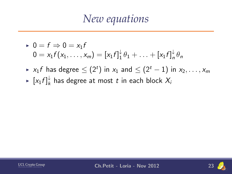- $\bullet$  0 = f  $\Rightarrow$  0 = x<sub>1</sub>f  $0 = x_1 f(x_1,\ldots,x_m) = [x_1 f]_1^{\downarrow}$  $\frac{1}{1} \theta_1 + \ldots + [x_1 f]_n^{\downarrow}$  $n^*$  $\theta_n$
- ►  $x_1f$  has degree  $\leq (2^t)$  in  $x_1$  and  $\leq (2^t-1)$  in  $x_2, \ldots, x_m$
- $\blacktriangleright$   $[x_1 f]_k^{\downarrow}$  $_{k}^{\downarrow}$  has degree at most  $t$  in each block  $X_{i}$



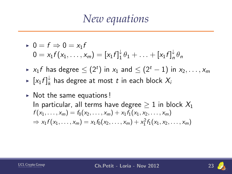- $\bullet$  0 = f  $\Rightarrow$  0 = x<sub>1</sub>f  $0 = x_1 f(x_1,\ldots,x_m) = [x_1 f]_1^{\downarrow}$  $\frac{1}{1} \theta_1 + \ldots + [x_1 f]_n^{\downarrow}$  $n^*$  $\theta_n$
- ►  $x_1f$  has degree  $\leq (2^t)$  in  $x_1$  and  $\leq (2^t-1)$  in  $x_2, \ldots, x_m$
- $\blacktriangleright$   $[x_1 f]_k^{\downarrow}$  $_{k}^{\downarrow}$  has degree at most  $t$  in each block  $X_{i}$
- $\triangleright$  Not the same equations! In particular, all terms have degree  $> 1$  in block  $X_1$  $f(x_1, \ldots, x_m) = f_0(x_2, \ldots, x_m) + x_1 f_1(x_1, x_2, \ldots, x_m)$  $\Rightarrow$   $x_1 f(x_1,...,x_m) = x_1 f_0(x_2,...,x_m) + x_1^2 f_1(x_1,x_2,...,x_m)$



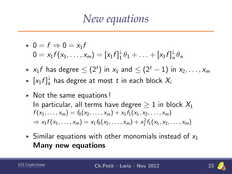- $\bullet$  0 = f  $\Rightarrow$  0 = x<sub>1</sub>f  $0 = x_1 f(x_1,\ldots,x_m) = [x_1 f]_1^{\downarrow}$  $\frac{1}{1} \theta_1 + \ldots + [x_1 f]_n^{\downarrow}$  $n^*$  $\theta_n$
- ►  $x_1f$  has degree  $\leq (2^t)$  in  $x_1$  and  $\leq (2^t-1)$  in  $x_2, \ldots, x_m$
- $\blacktriangleright$   $[x_1 f]_k^{\downarrow}$  $_{k}^{\downarrow}$  has degree at most  $t$  in each block  $X_{i}$
- $\triangleright$  Not the same equations! In particular, all terms have degree  $\geq 1$  in block  $X_1$  $f(x_1, \ldots, x_m) = f_0(x_2, \ldots, x_m) + x_1 f_1(x_1, x_2, \ldots, x_m)$  $\Rightarrow$   $x_1 f(x_1,...,x_m) = x_1 f_0(x_2,...,x_m) + x_1^2 f_1(x_1,x_2,...,x_m)$
- $\triangleright$  Similar equations with other monomials instead of  $x_1$ Many new equations

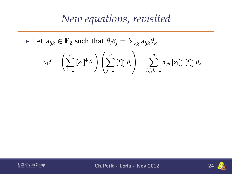► Let  $a_{ijk} \in \mathbb{F}_2$  such that  $\theta_i \theta_j = \sum_k a_{ijk} \theta_k$ 

$$
x_1f = \left(\sum_{i=1}^n [x_1]_i^{\downarrow} \theta_i\right)\left(\sum_{j=1}^n [f]_j^{\downarrow} \theta_j\right) = \sum_{i,j,k=1}^n a_{ijk} [x_1]_i^{\downarrow} [f]_j^{\downarrow} \theta_k.
$$



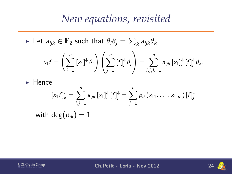► Let  $a_{ijk} \in \mathbb{F}_2$  such that  $\theta_i \theta_j = \sum_k a_{ijk} \theta_k$ 

$$
x_1 f = \left(\sum_{i=1}^n [x_1]_i^{\downarrow} \theta_i\right) \left(\sum_{j=1}^n [f]_j^{\downarrow} \theta_j\right) = \sum_{i,j,k=1}^n a_{ijk} [x_1]_i^{\downarrow} [f]_j^{\downarrow} \theta_k.
$$

 $\blacktriangleright$  Hence

$$
[x_1 f]_k^{\downarrow} = \sum_{i,j=1}^n a_{ijk} [x_1]_i^{\downarrow} [f]_j^{\downarrow} = \sum_{j=1}^n p_{ik} (x_{11}, \dots, x_{1,n'}) [f]_j^{\downarrow}
$$
  
with  $\deg(p_{ik}) = 1$ 



**UCL Crypto Group** Ch.Petit - Loria - Nov 2012 24

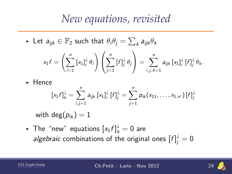► Let  $a_{ijk} \in \mathbb{F}_2$  such that  $\theta_i \theta_j = \sum_k a_{ijk} \theta_k$ 

$$
x_1f = \left(\sum_{i=1}^n [x_1]_i^{\downarrow} \theta_i\right) \left(\sum_{j=1}^n [f]_j^{\downarrow} \theta_j\right) = \sum_{i,j,k=1}^n a_{ijk} [x_1]_i^{\downarrow} [f]_j^{\downarrow} \theta_k.
$$

 $\blacktriangleright$  Hence

$$
[x_1 f]_k^{\downarrow} = \sum_{i,j=1}^n a_{ijk} [x_1]_i^{\downarrow} [f]_j^{\downarrow} = \sum_{j=1}^n p_{ik} (x_{11}, \ldots, x_{1,n'}) [f]_j^{\downarrow}
$$

with deg $(p_{ik}) = 1$ 

 $\blacktriangleright$  The "new" equations  $[x_1f]^\downarrow_k=0$  are *algebraic* combinations of the original ones  $[f]^{\downarrow}_j = 0$ 



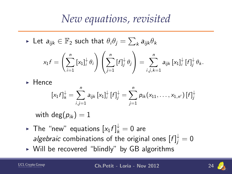► Let  $a_{ijk} \in \mathbb{F}_2$  such that  $\theta_i \theta_j = \sum_k a_{ijk} \theta_k$ 

$$
x_1f = \left(\sum_{i=1}^n [x_1]_i^{\downarrow} \theta_i\right)\left(\sum_{j=1}^n [f]_j^{\downarrow} \theta_j\right) = \sum_{i,j,k=1}^n a_{ijk} [x_1]_i^{\downarrow} [f]_j^{\downarrow} \theta_k.
$$

 $\blacktriangleright$  Hence

$$
[x_1 f]_k^{\downarrow} = \sum_{i,j=1}^n a_{ijk} [x_1]_i^{\downarrow} [f]_j^{\downarrow} = \sum_{j=1}^n p_{ik} (x_{11}, \ldots, x_{1,n'}) [f]_j^{\downarrow}
$$

with deg $(p_{ik}) = 1$ 

- $\blacktriangleright$  The "new" equations  $[x_1f]^\downarrow_k=0$  are *algebraic* combinations of the original ones  $[f]^{\downarrow}_j = 0$
- $\triangleright$  Will be recovered "blindly" by GB algorithms

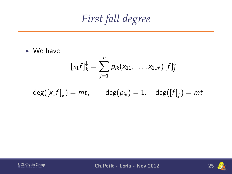*First fall degree*

 $\triangleright$  We have

$$
[x_1f]_k^{\downarrow} = \sum_{j=1}^n p_{ik}(x_{11},\ldots,x_{1,n'}) [f]_j^{\downarrow}
$$

$$
\mathsf{deg}([x_1f]^\downarrow_k)=mt,\qquad \mathsf{deg}(\rho_{ik})=1,\quad \mathsf{deg}([f]^\downarrow_j)=mt
$$



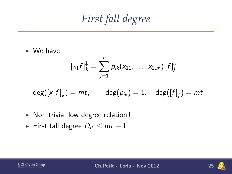*First fall degree*

 $\triangleright$  We have

$$
[x_1f]_k^{\downarrow} = \sum_{j=1}^n p_{ik}(x_{11},\ldots,x_{1,n'}) [f]_j^{\downarrow}
$$

$$
\mathsf{deg}([x_1f]^\downarrow_k)=mt,\qquad \mathsf{deg}(\rho_{ik})=1,\quad \mathsf{deg}([f]^\downarrow_j)=mt
$$

- $\triangleright$  Non trivial low degree relation !
- First fall degree  $D_f \leq mt + 1$

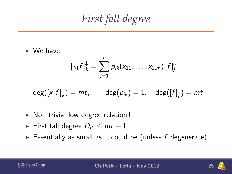*First fall degree*

 $\triangleright$  We have

$$
[x_1 f]_k^{\downarrow} = \sum_{j=1}^n p_{ik}(x_{11}, \ldots, x_{1,n'}) [f]_j^{\downarrow}
$$

$$
\mathsf{deg}([x_1f]^\downarrow_k)=mt,\qquad \mathsf{deg}(\rho_{ik})=1,\quad \mathsf{deg}([f]^\downarrow_j)=mt
$$

- $\triangleright$  Non trivial low degree relation!
- ► First fall degree  $D_f$   $\leq$   $mt + 1$
- Essentially as small as it could be (unless  $f$  degenerate)

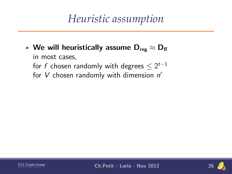## *Heuristic assumption*

► We will heuristically assume  $D_{\text{reg}} \approx D_{\text{ff}}$ in most cases, for  $f$  chosen randomly with degrees  $\leq 2^{t-1}$ for  $V$  chosen randomly with dimension  $n'$ 



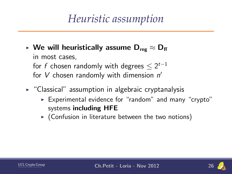## *Heuristic assumption*

- ► We will heuristically assume  $D_{res} \approx D_{ff}$ in most cases, for  $f$  chosen randomly with degrees  $\leq 2^{t-1}$ for  $V$  chosen randomly with dimension  $n'$
- $\triangleright$  "Classical" assumption in algebraic cryptanalysis
	- $\triangleright$  Experimental evidence for "random" and many "crypto" systems including HFE
	- $\triangleright$  (Confusion in literature between the two notions)



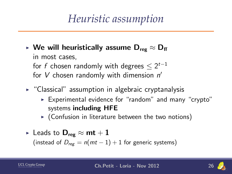## *Heuristic assumption*

- ► We will heuristically assume  $D_{\text{reg}} \approx D_{\text{ff}}$ in most cases, for  $f$  chosen randomly with degrees  $\leq 2^{t-1}$ for  $V$  chosen randomly with dimension  $n'$
- $\triangleright$  "Classical" assumption in algebraic cryptanalysis
	- $\triangleright$  Experimental evidence for "random" and many "crypto" systems including HFE
	- $\triangleright$  (Confusion in literature between the two notions)
- ► Leads to  $\mathsf{D}_{\mathsf{reg}} \approx \mathsf{mt} + 1$

(instead of  $D_{reg} = n(mt - 1) + 1$  for generic systems)

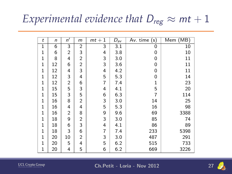## *Experimental evidence that*  $D_{reg} \approx mt + 1$

| t            | n  | n'             | m | 1<br>$mt +$ | $\bar{D}_{av}$ | $\overline{Av}$ . time (s) | Mem (MB) |
|--------------|----|----------------|---|-------------|----------------|----------------------------|----------|
| 1            | 6  | 3              | 2 | 3           | 3.1            | 0                          | 10       |
| 1            | 6  | $\overline{2}$ | 3 | 4           | 3.8            | 0                          | 10       |
| $\mathbf{1}$ | 8  | 4              | 2 | 3           | 3.0            | 0                          | 11       |
| 1            | 12 | 6              | 2 | 3           | 3.6            | 0                          | 11       |
| 1            | 12 | 4              | 3 | 4           | 4.2            | 0                          | 11       |
| 1            | 12 | 3              | 4 | 5           | 5.3            | 0                          | 14       |
| 1            | 12 | $\overline{2}$ | 6 | 7           | 7.4            | 1                          | 23       |
| 1            | 15 | 5              | 3 | 4           | 4.1            | 5                          | 20       |
| 1            | 15 | 3              | 5 | 6           | 6.3            | 7                          | 114      |
| 1            | 16 | 8              | 2 | 3           | 3.0            | 14                         | 25       |
| 1            | 16 | 4              | 4 | 5           | 5.3            | 16                         | 98       |
| $\mathbf{1}$ | 16 | 2              | 8 | 9           | 9.6            | 69                         | 3388     |
| 1            | 18 | 9              | 2 | 3           | 3.0            | 85                         | 74       |
| $\mathbf{1}$ | 18 | 6              | 3 | 4           | 4.1            | 86                         | 89       |
| $\mathbf{1}$ | 18 | 3              | 6 | 7           | 7.4            | 233                        | 5398     |
| 1            | 20 | 10             | 2 | 3           | 3.0            | 487                        | 291      |
| 1            | 20 | 5              | 4 | 5           | 6.2            | 515                        | 733      |
| 1            | 20 | 4              | 5 | 6           | 6.2            | 669                        | 3226     |

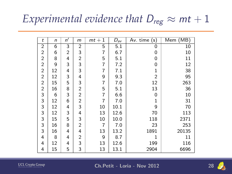## *Experimental evidence that*  $D_{reg} \approx mt + 1$

| t              | $\mathsf{n}$ | n' | m              | 1<br>$mt +$ | $D_{av}$ | Av. time<br>(s) | Mem (MB) |
|----------------|--------------|----|----------------|-------------|----------|-----------------|----------|
| 2              | 6            | 3  | 2              | 5           | 5.1      | 0               | 10       |
| $\overline{2}$ | 6            | 2  | 3              | 7           | 6.7      | 0               | 10       |
| $\overline{2}$ | 8            | 4  | $\overline{c}$ | 5           | 5.1      | 0               | 11       |
| 2              | 9            | 3  | 3              | 7           | 7.2      | 0               | 12       |
| 2              | 12           | 4  | 3              | 7           | 7.1      | 1               | 38       |
| 2              | 12           | 3  | 4              | 9           | 9.3      | $\overline{2}$  | 95       |
| 2              | 15           | 5  | 3              | 7           | 7.0      | 12              | 263      |
| $\overline{c}$ | 16           | 8  | $\overline{2}$ | 5           | 5.1      | 13              | 36       |
| 3              | 6            | 3  | $\overline{c}$ | 7           | 6.6      | 0               | 10       |
| 3              | 12           | 6  | $\overline{c}$ | 7           | 7.0      | 1               | 31       |
| 3              | 12           | 4  | 3              | 10          | 10.1     | 9               | 70       |
| 3              | 12           | 3  | 4              | 13          | 12.6     | 70              | 113      |
| 3              | 15           | 5  | 3              | 10          | 10.0     | 118             | 2371     |
| 3              | 16           | 8  | $\overline{2}$ | 7           | 7.0      | 23              | 253      |
| 3              | 16           | 4  | 4              | 13          | 13.2     | 1891            | 20135    |
| 4              | 8            | 4  | 2              | 9           | 8.7      | 1               | 11       |
| 4              | 12           | 4  | 3              | 13          | 12.6     | 199             | 116      |
| 4              | 15           | 5  | 3              | 13          | 13.1     | 2904            | 6696     |

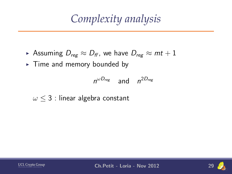*Complexity analysis*

- Assuming  $D_{reg} \approx D_{ff}$ , we have  $D_{reg} \approx mt + 1$
- $\blacktriangleright$  Time and memory bounded by

$$
n^{\omega D_{\text{reg}}} \quad \text{and} \quad n^{2D_{\text{reg}}}
$$

 $\omega$  < 3 : linear algebra constant



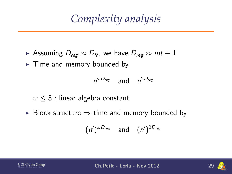*Complexity analysis*

- ► Assuming  $D_{reg} \approx D_{ff}$ , we have  $D_{reg} \approx mt + 1$
- $\blacktriangleright$  Time and memory bounded by

$$
n^{\omega D_{\text{reg}}} \quad \text{and} \quad n^{2D_{\text{reg}}}
$$

$$
\omega \leq 3
$$
: linear algebra constant

► Block structure  $\Rightarrow$  time and memory bounded by

$$
(n')^{\omega D_{reg}} \quad \text{and} \quad (n')^{2D_{reg}}
$$



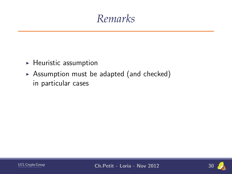### *Remarks*

- $\blacktriangleright$  Heuristic assumption
- $\triangleright$  Assumption must be adapted (and checked) in particular cases



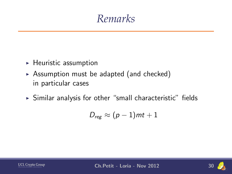#### *Remarks*

- $\blacktriangleright$  Heuristic assumption
- $\triangleright$  Assumption must be adapted (and checked) in particular cases
- $\triangleright$  Similar analysis for other "small characteristic" fields

$$
D_{reg} \approx (p-1)mt+1
$$



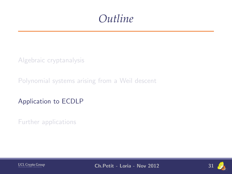#### *Outline*

[Algebraic cryptanalysis](#page-7-0)

[Polynomial systems arising from a Weil descent](#page-35-0)

[Application to ECDLP](#page-73-0)

[Further applications](#page-118-0)



**UCL Crypto Group** Ch.Petit - Loria - Nov 2012 31

<span id="page-73-0"></span>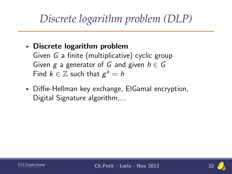# *Discrete logarithm problem (DLP)*

#### $\triangleright$  Discrete logarithm problem

Given G a finite (multiplicative) cyclic group Given g a generator of G and given  $h \in G$ Find  $k \in \mathbb{Z}$  such that  $g^k = h$ 

 $\triangleright$  Diffie-Hellman key exchange, ElGamal encryption, Digital Signature algorithm,...



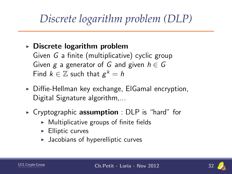# *Discrete logarithm problem (DLP)*

#### $\triangleright$  Discrete logarithm problem

Given G a finite (multiplicative) cyclic group Given g a generator of G and given  $h \in G$ Find  $k \in \mathbb{Z}$  such that  $g^k = h$ 

- $\triangleright$  Diffie-Hellman key exchange, ElGamal encryption, Digital Signature algorithm,...
- $\triangleright$  Cryptographic **assumption** : DLP is "hard" for
	- $\triangleright$  Multiplicative groups of finite fields
	- $\blacktriangleright$  Elliptic curves
	- $\blacktriangleright$  Jacobians of hyperelliptic curves

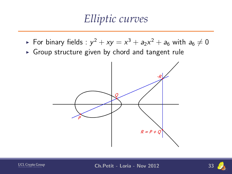#### *Elliptic curves*

- $\blacktriangleright$  For binary fields :  $y^2 + xy = x^3 + a_2x^2 + a_6$  with  $a_6 \neq 0$
- $\triangleright$  Group structure given by chord and tangent rule





**UCL Crypto Group Ch.Petit - Loria - Nov 2012** 

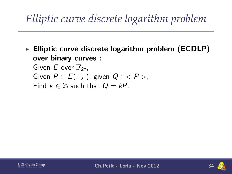# *Elliptic curve discrete logarithm problem*

 $\triangleright$  Elliptic curve discrete logarithm problem (ECDLP) over binary curves : Given  $E$  over  $\mathbb{F}_{2^n}$ , Given  $P \in E(\mathbb{F}_{2^n})$ , given  $Q \in < P >$ , Find  $k \in \mathbb{Z}$  such that  $Q = kP$ .



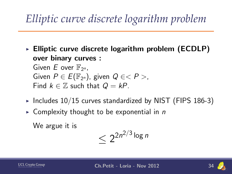# *Elliptic curve discrete logarithm problem*

- $\triangleright$  Elliptic curve discrete logarithm problem (ECDLP) over binary curves : Given  $E$  over  $\mathbb{F}_{2^n}$ , Given  $P \in E(\mathbb{F}_{2^n})$ , given  $Q \in < P >$ , Find  $k \in \mathbb{Z}$  such that  $Q = kP$ .
- Includes  $10/15$  curves standardized by NIST (FIPS 186-3)
- $\triangleright$  Complexity thought to be exponential in *n*

We argue it is

$$
\leq 2^{2n^{2/3}\log n}
$$

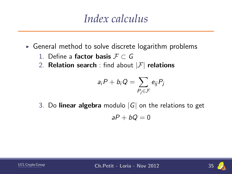#### *Index calculus*

- $\triangleright$  General method to solve discrete logarithm problems
	- 1. Define a factor basis  $F \subset G$
	- 2. **Relation search**: find about  $|\mathcal{F}|$  relations

$$
a_i P + b_i Q = \sum_{P_j \in \mathcal{F}} e_{ij} P_j
$$

3. Do linear algebra modulo  $|G|$  on the relations to get

$$
aP+bQ=0
$$



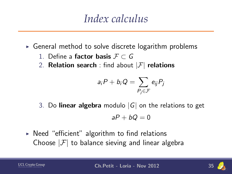#### *Index calculus*

- $\triangleright$  General method to solve discrete logarithm problems
	- 1. Define a factor basis  $F \subset G$
	- 2. **Relation search**: find about  $|\mathcal{F}|$  relations

$$
a_i P + b_i Q = \sum_{P_j \in \mathcal{F}} e_{ij} P_j
$$

3. Do **linear algebra** modulo  $|G|$  on the relations to get

$$
aP+bQ=0
$$

 $\triangleright$  Need "efficient" algorithm to find relations Choose  $|\mathcal{F}|$  to balance sieving and linear algebra

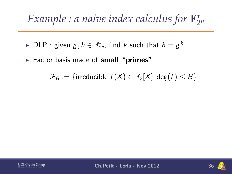- ► DLP : given  $g, h \in \mathbb{F}_{2^n}^*$ , find  $k$  such that  $h = g^k$
- Factor basis made of small "primes"

 $\mathcal{F}_B := \{$ irreducible  $f(X) \in \mathbb{F}_2[X]$  deg $(f) \leq B\}$ 



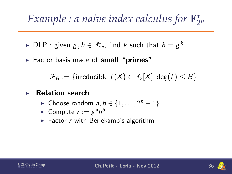- ► DLP : given  $g, h \in \mathbb{F}_{2^n}^*$ , find  $k$  such that  $h = g^k$
- $\triangleright$  Factor basis made of small "primes"

 $\mathcal{F}_B := \{$ irreducible  $f(X) \in \mathbb{F}_2[X]$  deg $(f) \leq B\}$ 

- **Relation search** 
	- ► Choose random  $a, b \in \{1, ..., 2<sup>n</sup> 1\}$
	- $\blacktriangleright$  Compute  $r:=g^ah^b$
	- $\triangleright$  Factor r with Berlekamp's algorithm



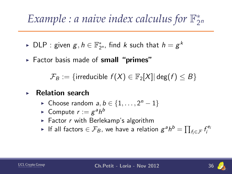- ► DLP : given  $g, h \in \mathbb{F}_{2^n}^*$ , find  $k$  such that  $h = g^k$
- $\triangleright$  Factor basis made of small "primes"

 $\mathcal{F}_B := \{$ irreducible  $f(X) \in \mathbb{F}_2[X]$  deg $(f) \leq B\}$ 

- **Relation search** 
	- ► Choose random  $a, b \in \{1, ..., 2<sup>n</sup> 1\}$
	- $\blacktriangleright$  Compute  $r:=g^ah^b$
	- $\triangleright$  Factor r with Berlekamp's algorithm
	- ► If all factors  $\in \mathcal{F}_B$ , we have a relation  $g^ah^b = \prod_{f_i \in \mathcal{F}} f_i^{e_i}$



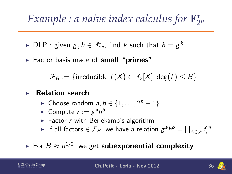- ► DLP : given  $g, h \in \mathbb{F}_{2^n}^*$ , find  $k$  such that  $h = g^k$
- Factor basis made of small "primes"

 $\mathcal{F}_B := \{$ irreducible  $f(X) \in \mathbb{F}_2[X]$  deg $(f) \leq B\}$ 

- **Relation search** 
	- ► Choose random  $a, b \in \{1, ..., 2<sup>n</sup> 1\}$
	- $\blacktriangleright$  Compute  $r:=g^ah^b$
	- $\triangleright$  Factor r with Berlekamp's algorithm
	- ► If all factors  $\in \mathcal{F}_B$ , we have a relation  $g^ah^b = \prod_{f_i \in \mathcal{F}} f_i^{e_i}$

#### $\blacktriangleright$  For  $B \approx n^{1/2}$ , we get  $\mathsf{subexponential\;\textbf{complexity}}$

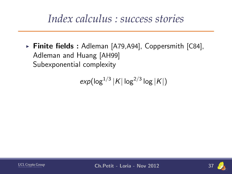#### *Index calculus : success stories*

Finite fields : Adleman [A79,A94], Coppersmith  $[C84]$ , Adleman and Huang [AH99] Subexponential complexity

$$
\exp(\log^{1/3}|K|\log^{2/3}\log|K|)
$$



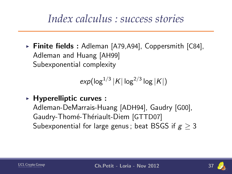#### *Index calculus : success stories*

 $\triangleright$  Finite fields : Adleman [A79,A94], Coppersmith [C84], Adleman and Huang [AH99] Subexponential complexity

$$
\exp(\log^{1/3}|K|\log^{2/3}\log|K|)
$$

 $\triangleright$  Hyperelliptic curves :

Adleman-DeMarrais-Huang [ADH94], Gaudry [G00], Gaudry-Thomé-Thériault-Diem [GTTD07] Subexponential for large genus; beat BSGS if  $g > 3$ 

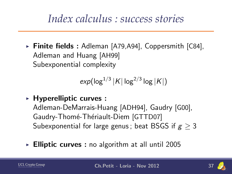#### *Index calculus : success stories*

 $\triangleright$  Finite fields : Adleman [A79,A94], Coppersmith [C84], Adleman and Huang [AH99] Subexponential complexity

$$
\exp(\log^{1/3}|K|\log^{2/3}\log|K|)
$$

 $\triangleright$  Hyperelliptic curves :

Adleman-DeMarrais-Huang [ADH94], Gaudry [G00], Gaudry-Thomé-Thériault-Diem [GTTD07] Subexponential for large genus; beat BSGS if  $g > 3$ 

Elliptic curves : no algorithm at all until 2005

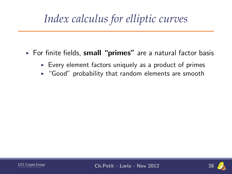# *Index calculus for elliptic curves*

- $\triangleright$  For finite fields, small "primes" are a natural factor basis
	- $\triangleright$  Every element factors uniquely as a product of primes
	- $\blacktriangleright$  "Good" probability that random elements are smooth



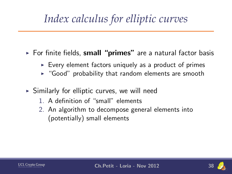# *Index calculus for elliptic curves*

- $\triangleright$  For finite fields, small "primes" are a natural factor basis
	- $\triangleright$  Every element factors uniquely as a product of primes
	- $\blacktriangleright$  "Good" probability that random elements are smooth
- $\triangleright$  Similarly for elliptic curves, we will need
	- 1. A definition of "small" elements
	- 2. An algorithm to decompose general elements into (potentially) small elements



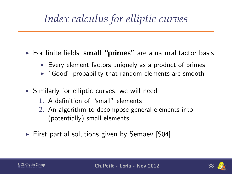# *Index calculus for elliptic curves*

- $\triangleright$  For finite fields, small "primes" are a natural factor basis
	- $\triangleright$  Every element factors uniquely as a product of primes
	- $\blacktriangleright$  "Good" probability that random elements are smooth
- $\triangleright$  Similarly for elliptic curves, we will need
	- 1. A definition of "small" elements
	- 2. An algorithm to decompose general elements into (potentially) small elements
- $\triangleright$  First partial solutions given by Semaev [S04]

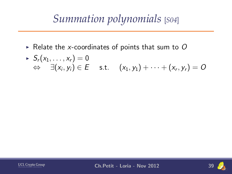# *Summation polynomials* [*S04*]

Relate the x-coordinates of points that sum to  $O$ 

$$
\begin{array}{rcl}\n\ast & S_r(x_1,\ldots,x_r) = 0 \\
\Leftrightarrow & \exists (x_i,y_i) \in E \quad \text{s.t.} \quad (x_1,y_1) + \cdots + (x_r,y_r) = O\n\end{array}
$$



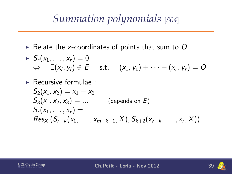# *Summation polynomials* [*S04*]

- $\triangleright$  Relate the x-coordinates of points that sum to O
- $S_r(x_1, \ldots, x_r) = 0$  $\Leftrightarrow\quad \exists (x_{i},y_{i})\in E\quad \text { s.t. }\quad (x_{1},y_{1})+\cdots+(x_{r},y_{r})=O$
- $\triangleright$  Recursive formulae :

$$
S_2(x_1, x_2) = x_1 - x_2
$$
  
\n
$$
S_3(x_1, x_2, x_3) = ...
$$
 (depends on *E*)  
\n
$$
S_r(x_1, ..., x_r) =
$$
  
\n
$$
Res_x(S_{r-k}(x_1, ..., x_{m-k-1}, X), S_{k+2}(x_{r-k}, ..., x_r, X))
$$



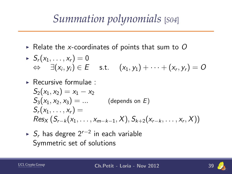# *Summation polynomials* [*S04*]

- Relate the x-coordinates of points that sum to  $O$
- $S_r(x_1, \ldots, x_r) = 0$  $\Leftrightarrow\quad \exists (x_{i},y_{i})\in E\quad \text { s.t. }\quad (x_{1},y_{1})+\cdots+(x_{r},y_{r})=O$
- $\triangleright$  Recursive formulae :

$$
S_2(x_1, x_2) = x_1 - x_2
$$
  
\n
$$
S_3(x_1, x_2, x_3) = ...
$$
 (depends on *E*)  
\n
$$
S_r(x_1, ..., x_r) =
$$
  
\n
$$
Res_x(S_{r-k}(x_1, ..., x_{m-k-1}, X), S_{k+2}(x_{r-k}, ..., x_r, X))
$$

►  $S_r$  has degree  $2^{r-2}$  in each variable Symmetric set of solutions

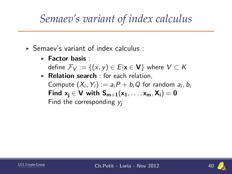## *Semaev's variant of index calculus*

- $\triangleright$  Semaev's variant of index calculus :
	- $\blacktriangleright$  Factor basis :

define  $\mathcal{F}_V := \{(x, y) \in E | x \in V\}$  where  $V \subset K$ 

 $\triangleright$  Relation search : for each relation, Compute  $(X_i,Y_i):=a_iP+b_iQ$  for random  $a_i,b_i$ Find  $x_i \in V$  with  $S_{m+1}(x_1, \ldots, x_m, X_i) = 0$ Find the corresponding  $y_i$ 



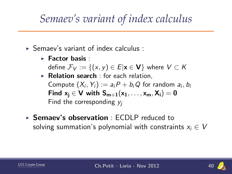## *Semaev's variant of index calculus*

- $\triangleright$  Semaev's variant of index calculus :
	- $\blacktriangleright$  Factor basis :

define  $\mathcal{F}_V := \{(x, y) \in E | x \in V\}$  where  $V \subset K$ 

- $\triangleright$  Relation search : for each relation, Compute  $(X_i,Y_i):=a_iP+b_iQ$  for random  $a_i,b_i$ Find  $x_i \in V$  with  $S_{m+1}(x_1, \ldots, x_m, X_i) = 0$ Find the corresponding  $y_i$
- $\triangleright$  Semaev's observation  $\cdot$  ECDLP reduced to solving summation's polynomial with constraints  $x_i \in V$



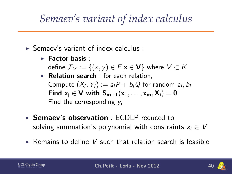### *Semaev's variant of index calculus*

- $\triangleright$  Semaev's variant of index calculus :
	- $\blacktriangleright$  Factor basis :

define  $\mathcal{F}_V := \{(x, y) \in E | x \in V\}$  where  $V \subset K$ 

- $\triangleright$  Relation search : for each relation, Compute  $(X_i,Y_i):=a_iP+b_iQ$  for random  $a_i,b_i$ Find  $x_i \in V$  with  $S_{m+1}(x_1, \ldots, x_m, X_i) = 0$ Find the corresponding  $y_i$
- $\triangleright$  Semaev's observation  $\cdot$  ECDLP reduced to solving summation's polynomial with constraints  $x_i \in V$
- $\triangleright$  Remains to define V such that relation search is feasible

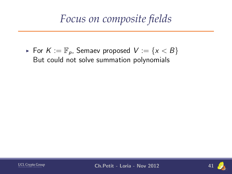For  $K := \mathbb{F}_p$ , Semaev proposed  $V := \{x < B\}$ But could not solve summation polynomials



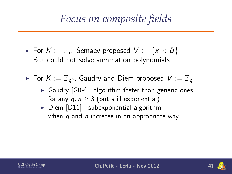- For  $K := \mathbb{F}_p$ , Semaev proposed  $V := \{x < B\}$ But could not solve summation polynomials
- $\blacktriangleright$  For  $K:=\mathbb{F}_{q^n}$ , Gaudry and Diem proposed  $V:=\mathbb{F}_q$ 
	- $\triangleright$  Gaudry [G09] : algorithm faster than generic ones for any  $q, n > 3$  (but still exponential)
	- $\triangleright$  Diem [D11] : subexponential algorithm when  $q$  and  $n$  increase in an appropriate way

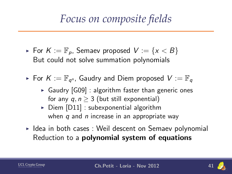- For  $K := \mathbb{F}_p$ , Semaev proposed  $V := \{x < B\}$ But could not solve summation polynomials
- $\blacktriangleright$  For  $K:=\mathbb{F}_{q^n}$ , Gaudry and Diem proposed  $V:=\mathbb{F}_q$ 
	- $\triangleright$  Gaudry [G09] : algorithm faster than generic ones for any  $q, n > 3$  (but still exponential)
	- $\triangleright$  Diem [D11] : subexponential algorithm when  $q$  and  $n$  increase in an appropriate way
- $\triangleright$  Idea in both cases : Weil descent on Semaev polynomial Reduction to a polynomial system of equations



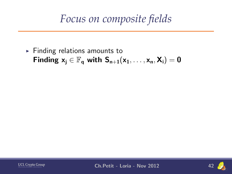$\blacktriangleright$  Finding relations amounts to Finding  $x_i \in \mathbb{F}_q$  with  $S_{n+1}(x_1, \ldots, x_n, X_i) = 0$ 



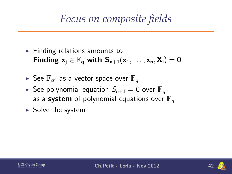- $\blacktriangleright$  Finding relations amounts to Finding  $x_i \in \mathbb{F}_q$  with  $S_{n+1}(x_1, \ldots, x_n, X_i) = 0$
- $\blacktriangleright$  See  $\mathbb{F}_{q^n}$  as a vector space over  $\mathbb{F}_q$
- $\blacktriangleright$  See polynomial equation  $S_{n+1}=0$  over  $\mathbb{F}_{q^n}$ as a system of polynomial equations over  $\mathbb{F}_q$
- $\triangleright$  Solve the system

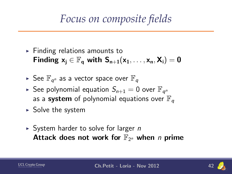- $\blacktriangleright$  Finding relations amounts to Finding  $x_i \in \mathbb{F}_q$  with  $S_{n+1}(x_1, \ldots, x_n, X_i) = 0$
- $\blacktriangleright$  See  $\mathbb{F}_{q^n}$  as a vector space over  $\mathbb{F}_q$
- $\blacktriangleright$  See polynomial equation  $S_{n+1}=0$  over  $\mathbb{F}_{q^n}$ as a system of polynomial equations over  $\mathbb{F}_q$
- $\triangleright$  Solve the system
- $\triangleright$  System harder to solve for larger *n* Attack does not work for  $\mathbb{F}_{2^n}$  when n prime



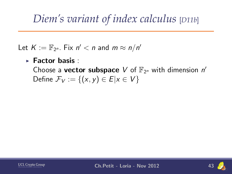#### *Diem's variant of index calculus* [*D11b*]

Let  $K := \mathbb{F}_{2^n}$ . Fix  $n' < n$  and  $m \approx n/n'$ 

#### $\blacktriangleright$  Factor basis :

Choose a vector subspace V of  $\mathbb{F}_{2^n}$  with dimension  $n'$ Define  $\mathcal{F}_V := \{(x, y) \in E | x \in V\}$ 



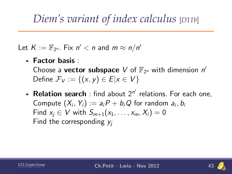### *Diem's variant of index calculus* [*D11b*]

Let  $K := \mathbb{F}_{2^n}$ . Fix  $n' < n$  and  $m \approx n/n'$ 

 $\blacktriangleright$  Factor basis :

Choose a vector subspace V of  $\mathbb{F}_{2^n}$  with dimension  $n'$ Define  $\mathcal{F}_V := \{(x, y) \in E | x \in V\}$ 

 $\blacktriangleright$  Relation search : find about  $2^{n'}$  relations. For each one, Compute  $(X_i,Y_i):=a_iP+b_iQ$  for random  $a_i,b_i$ Find  $x_i \in V$  with  $S_{m+1}(x_1, \ldots, x_m, X_i) = 0$ Find the corresponding  $y_i$ 



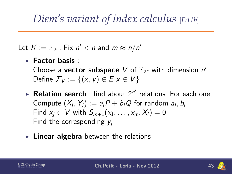### *Diem's variant of index calculus* [*D11b*]

Let  $K := \mathbb{F}_{2^n}$ . Fix  $n' < n$  and  $m \approx n/n'$ 

 $\blacktriangleright$  Factor basis :

Choose a vector subspace V of  $\mathbb{F}_{2^n}$  with dimension  $n'$ Define  $\mathcal{F}_V := \{(x, y) \in E | x \in V\}$ 

- $\blacktriangleright$  Relation search : find about  $2^{n'}$  relations. For each one, Compute  $(X_i,Y_i):=a_iP+b_iQ$  for random  $a_i,b_i$ Find  $x_i \in V$  with  $S_{m+1}(x_1, \ldots, x_m, X_i) = 0$ Find the corresponding  $y_i$
- $\triangleright$  Linear algebra between the relations

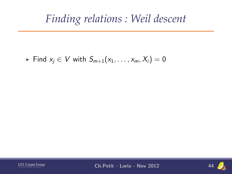#### *Finding relations : Weil descent*

Find  $x_i \in V$  with  $S_{m+1}(x_1, \ldots, x_m, X_i) = 0$ 



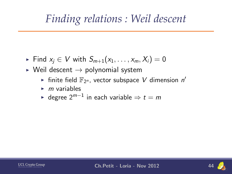#### *Finding relations : Weil descent*

- Find  $x_i \in V$  with  $S_{m+1}(x_1, \ldots, x_m, X_i) = 0$
- $\triangleright$  Weil descent  $\rightarrow$  polynomial system
	- If finite field  $\mathbb{F}_{2^n}$ , vector subspace V dimension  $n'$
	- $\blacktriangleright$  m variables
	- ► degree 2 $^{m-1}$  in each variable  $\Rightarrow$   $t=m$

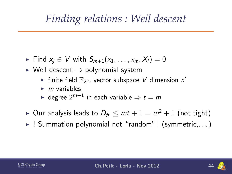#### *Finding relations : Weil descent*

- Find  $x_i \in V$  with  $S_{m+1}(x_1, \ldots, x_m, X_i) = 0$
- $\triangleright$  Weil descent  $\rightarrow$  polynomial system
	- If finite field  $\mathbb{F}_{2^n}$ , vector subspace V dimension  $n'$
	- $\blacktriangleright$  m variables
	- ► degree 2 $^{m-1}$  in each variable  $\Rightarrow$   $t=m$
- ► Our analysis leads to  $D_f$   $\leq$   $mt$   $+1$   $=$   $m^2+1$  (not tight)
- $\blacktriangleright$ ! Summation polynomial not "random"! (symmetric,...)

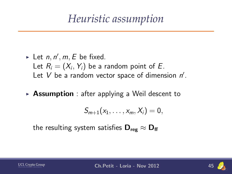### *Heuristic assumption*

- In Let  $n, n', m, E$  be fixed. Let  $R_i=(X_i,\, Y_i)$  be a random point of  $E.$ Let  $V$  be a random vector space of dimension  $n'$ .
- $\triangleright$  **Assumption** : after applying a Weil descent to

$$
S_{m+1}(x_1,\ldots,x_m,X_i)=0,
$$

the resulting system satisfies  $D_{\text{res}} \approx D_{\text{ff}}$ 



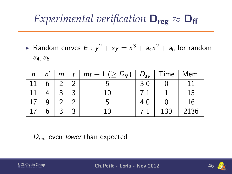## *Experimental verification*  $D_{\text{reg}} \approx D_{\text{ff}}$

► Random curves  $E : y^2 + xy = x^3 + a_4x^2 + a_6$  for random  $a_4, a_6$ 

| n | 'n | m | t | $\boxed{m}t+1$ ( $\geq D_{ff}$ ) | $D_{av}$ | $\mid$ Time | Mem. |
|---|----|---|---|----------------------------------|----------|-------------|------|
|   |    |   | റ |                                  | 3.0      |             |      |
|   |    |   | ર | 10                               |          |             | 15   |
|   |    |   |   |                                  |          |             | 16   |
|   |    | ◠ | 2 |                                  |          | 130         | 2136 |

#### $D_{\text{reg}}$  even lower than expected



**UCL Crypto Group** Microelectronics Laboratory Ch.Petit - Loria - Nov 2012 46

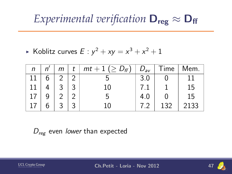## *Experimental verification*  $D_{\text{reg}} \approx D_{\text{ff}}$

 $\blacktriangleright$  Koblitz curves  $E: y^2 + xy = x^3 + x^2 + 1$ 

| n | m | t | $m t + 1$ ( $\ge D_f$ ) | $D_{\rm av}$ | Time | Mem. |
|---|---|---|-------------------------|--------------|------|------|
|   |   |   |                         | 3.0          |      |      |
|   | ⌒ | ာ | 10                      |              |      | 15   |
|   |   |   |                         |              |      | 15   |
|   | ⌒ | ⌒ | 10                      |              | 132  | 2133 |

 $D_{\text{reg}}$  even lower than expected



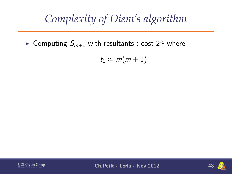# *Complexity of Diem's algorithm*

► Computing  $S_{m+1}$  with resultants : cost  $2^{t_1}$  where

 $t_1 \approx m(m+1)$ 



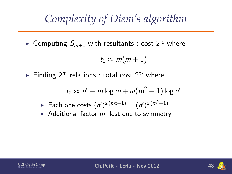# *Complexity of Diem's algorithm*

► Computing  $S_{m+1}$  with resultants : cost  $2^{t_1}$  where

 $t_1 \approx m(m+1)$ 

Finding  $2^{n'}$  relations : total cost  $2^{t_2}$  where

$$
t_2 \approx n' + m \log m + \omega(m^2 + 1) \log n'
$$

- ► Each one costs  $(n')^{\omega(mt+1)} = (n')^{\omega(m^2+1)}$
- Additional factor  $m!$  lost due to symmetry



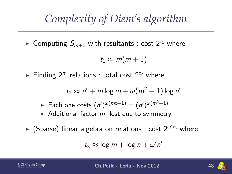# *Complexity of Diem's algorithm*

► Computing  $S_{m+1}$  with resultants : cost  $2^{t_1}$  where

 $t_1 \approx m(m+1)$ 

Finding  $2^{n'}$  relations : total cost  $2^{t_2}$  where

$$
t_2 \approx n' + m \log m + \omega(m^2 + 1) \log n'
$$

- ► Each one costs  $(n')^{\omega(mt+1)} = (n')^{\omega(m^2+1)}$
- Additional factor  $m!$  lost due to symmetry
- $\blacktriangleright$  (Sparse) linear algebra on relations : cost  $2^{\omega' t_3}$  where

$$
t_3 \approx \log m + \log n + \omega' n'
$$

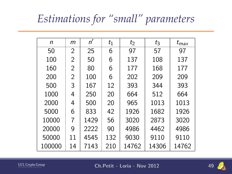# *Estimations for "small" parameters*

| n      | m             | n'   | $t_1$ | $t_2$ | $t_3$ | $t_{max}$ |
|--------|---------------|------|-------|-------|-------|-----------|
| 50     | $\mathcal{P}$ | 25   | 6     | 97    | 57    | 97        |
| 100    | 2             | 50   | 6     | 137   | 108   | 137       |
| 160    | 2             | 80   | 6     | 177   | 168   | 177       |
| 200    | 2             | 100  | 6     | 202   | 209   | 209       |
| 500    | 3             | 167  | 12    | 393   | 344   | 393       |
| 1000   | 4             | 250  | 20    | 664   | 512   | 664       |
| 2000   | 4             | 500  | 20    | 965   | 1013  | 1013      |
| 5000   | 6             | 833  | 42    | 1926  | 1682  | 1926      |
| 10000  | 7             | 1429 | 56    | 3020  | 2873  | 3020      |
| 20000  | 9             | 2222 | 90    | 4986  | 4462  | 4986      |
| 50000  | 11            | 4545 | 132   | 9030  | 9110  | 9110      |
| 100000 | 14            | 7143 | 210   | 14762 | 14306 | 14762     |



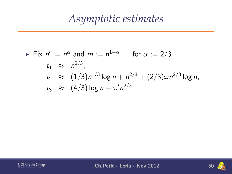# *Asymptotic estimates*

► Fix 
$$
n' := n^{\alpha}
$$
 and  $m := n^{1-\alpha}$  for  $\alpha := 2/3$   
\n $t_1 \approx n^{2/3}$ ,  
\n $t_2 \approx (1/3)n^{1/3} \log n + n^{2/3} + (2/3)\omega n^{2/3} \log n$ ,  
\n $t_3 \approx (4/3) \log n + \omega' n^{2/3}$ 



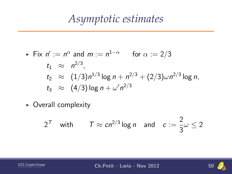#### *Asymptotic estimates*

► Fix 
$$
n' := n^{\alpha}
$$
 and  $m := n^{1-\alpha}$  for  $\alpha := 2/3$   
\n $t_1 \approx n^{2/3}$ ,  
\n $t_2 \approx (1/3)n^{1/3} \log n + n^{2/3} + (2/3)\omega n^{2/3} \log n$ ,  
\n $t_3 \approx (4/3) \log n + \omega' n^{2/3}$ 

 $\triangleright$  Overall complexity

$$
2^T
$$
 with  $T \approx cn^{2/3} \log n$  and  $c := \frac{2}{3} \omega \le 2$ 



**2** 



**UCL Crypto Group Ch.Petit - Loria - Nov 2012** 50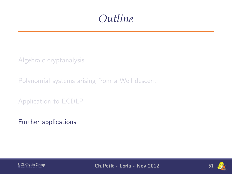#### *Outline*

[Algebraic cryptanalysis](#page-7-0)

[Polynomial systems arising from a Weil descent](#page-35-0)

[Application to ECDLP](#page-73-0)

[Further applications](#page-118-0)



**UCL Crypto Group** Ch.Petit - Loria - Nov 2012 51

<span id="page-118-0"></span>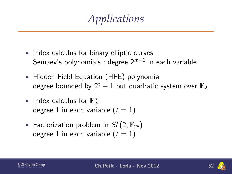*Applications*

- $\triangleright$  Index calculus for binary elliptic curves Semaev's polynomials : degree  $2^{m-1}$  in each variable
- $\triangleright$  Hidden Field Equation (HFE) polynomial degree bounded by  $2^t - 1$  but quadratic system over  $\mathbb{F}_2$
- ► Index calculus for  $\mathbb{F}_{2^n}^*$ degree 1 in each variable  $(t = 1)$
- Factorization problem in  $SL(2, \mathbb{F}_{2^n})$ degree 1 in each variable  $(t = 1)$



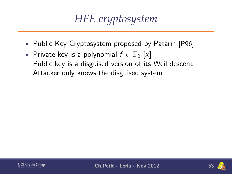# *HFE cryptosystem*

- $\triangleright$  Public Key Cryptosystem proposed by Patarin [P96]
- ► Private key is a polynomial  $f \in \mathbb{F}_{2^n}[x]$ Public key is a disguised version of its Weil descent Attacker only knows the disguised system



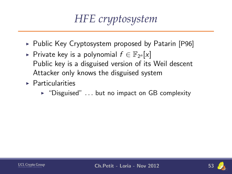# *HFE cryptosystem*

- $\triangleright$  Public Key Cryptosystem proposed by Patarin [P96]
- ► Private key is a polynomial  $f \in \mathbb{F}_{2^n}[x]$ Public key is a disguised version of its Weil descent Attacker only knows the disguised system
- $\blacktriangleright$  Particularities
	- $\triangleright$  "Disguised" ... but no impact on GB complexity

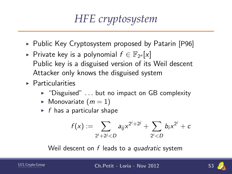# *HFE cryptosystem*

- $\triangleright$  Public Key Cryptosystem proposed by Patarin [P96]
- ► Private key is a polynomial  $f \in \mathbb{F}_{2^n}[x]$ Public key is a disguised version of its Weil descent Attacker only knows the disguised system
- $\blacktriangleright$  Particularities
	- $\triangleright$  "Disguised" ... but no impact on GB complexity
	- $\blacktriangleright$  Monovariate  $(m = 1)$
	- $\blacktriangleright$  f has a particular shape

$$
f(x) := \sum_{2^i+2^j < D} a_{ij} x^{2^i+2^j} + \sum_{2^i < D} b_i x^{2^i} + c
$$

Weil descent on  $f$  leads to a quadratic system



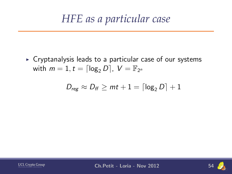#### *HFE as a particular case*

 $\triangleright$  Cryptanalysis leads to a particular case of our systems with  $m = 1, t = \lceil \log_2 D \rceil$ ,  $V = \mathbb{F}_{2^n}$ 

$$
D_{\text{reg}} \approx D_{\text{ff}} \geq mt+1 = \lceil \log_2 D \rceil + 1
$$



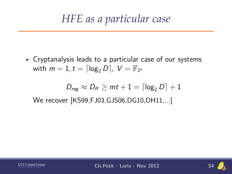#### *HFE as a particular case*

 $\triangleright$  Cryptanalysis leads to a particular case of our systems with  $m = 1, t = \lceil \log_2 D \rceil$ ,  $V = \mathbb{F}_{2^n}$ 

$$
D_{\text{reg}} \approx D_{\text{ff}} \geq \text{mt} + 1 = \lceil \log_2 D \rceil + 1
$$

We recover [KS99,FJ03,GJS06,DG10,DH11,...]



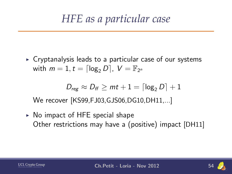### *HFE as a particular case*

 $\triangleright$  Cryptanalysis leads to a particular case of our systems with  $m = 1, t = \lceil \log_2 D \rceil$ ,  $V = \mathbb{F}_{2^n}$ 

$$
\mathit{D}_{\mathit{reg}} \approx \mathit{D}_{\mathit{ff}} \geq \mathit{mt} + 1 = \lceil \log_2{D} \rceil + 1
$$

We recover [KS99,FJ03,GJS06,DG10,DH11,...]

 $\triangleright$  No impact of HFE special shape Other restrictions may have a (positive) impact [DH11]



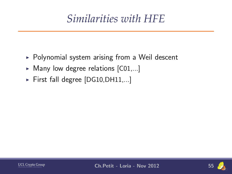# *Similarities with HFE*

- $\triangleright$  Polynomial system arising from a Weil descent
- $\blacktriangleright$  Many low degree relations  $[CO1,...]$
- First fall degree  $[DG10, DH11,...]$



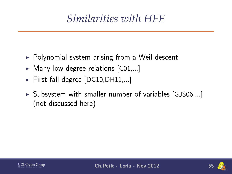# *Similarities with HFE*

- $\triangleright$  Polynomial system arising from a Weil descent
- $\blacktriangleright$  Many low degree relations  $[CO1,...]$
- First fall degree  $[DG10, DH11,...]$
- $\triangleright$  Subsystem with smaller number of variables [GJS06,...] (not discussed here)

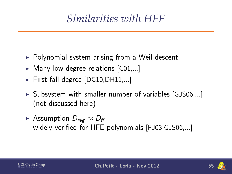# *Similarities with HFE*

- $\triangleright$  Polynomial system arising from a Weil descent
- $\blacktriangleright$  Many low degree relations  $[CO1,...]$
- First fall degree  $[DG10, DH11,...]$
- $\triangleright$  Subsystem with smaller number of variables [GJS06,...] (not discussed here)
- ► Assumption  $D_{reg} \approx D_{ff}$ widely verified for HFE polynomials [FJ03,GJS06,...]

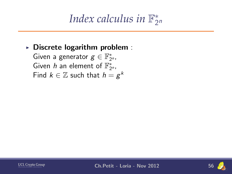#### *Index calculus in*  $\mathbb{F}_2^*$  $2<sup>n</sup>$

#### $\triangleright$  Discrete logarithm problem :

Given a generator  $g \in \mathbb{F}_{2^n}^*$ , Given h an element of  $\mathbb{F}_{2^n}^*$ , Find  $k \in \mathbb{Z}$  such that  $h = g^k$ 



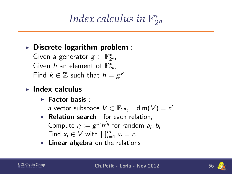#### *Index calculus in*  $\mathbb{F}_2^*$  $2<sup>n</sup>$

#### $\triangleright$  Discrete logarithm problem :

Given a generator  $g \in \mathbb{F}_{2^n}^*$ , Given h an element of  $\mathbb{F}_{2^n}^*$ , Find  $k \in \mathbb{Z}$  such that  $h = g^k$ 

- $\blacktriangleright$  Index calculus
	- $\blacktriangleright$  Factor basis :

a vector subspace  $V \subset \mathbb{F}_{2^n}$ , dim $(V) = n'$ 

- $\triangleright$  Relation search : for each relation, Compute  $r_i := g^{a_i} h^{b_i}$  for random  $a_i, b_i$ Find  $x_j \in V$  with  $\prod_{i=1}^m x_j = r_i$
- $\blacktriangleright$  Linear algebra on the relations

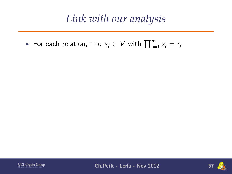► For each relation, find  $x_j \in V$  with  $\prod_{i=1}^m x_j = r_i$ 



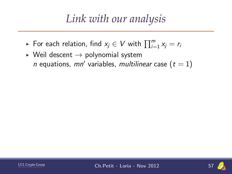- ► For each relation, find  $x_j \in V$  with  $\prod_{i=1}^m x_j = r_i$
- $\triangleright$  Weil descent  $\rightarrow$  polynomial system *n* equations,  $mn'$  variables, multilinear case  $(t = 1)$



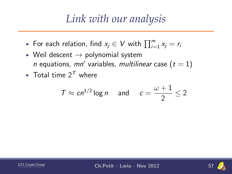- ► For each relation, find  $x_j \in V$  with  $\prod_{i=1}^m x_j = r_i$
- $\triangleright$  Weil descent  $\rightarrow$  polynomial system *n* equations,  $mn'$  variables, multilinear case  $(t = 1)$
- $\blacktriangleright$  Total time  $2^T$  where

$$
T \approx c n^{1/2} \log n \quad \text{and} \quad c = \frac{\omega + 1}{2} \le 2
$$



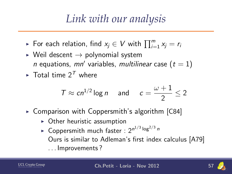- ► For each relation, find  $x_j \in V$  with  $\prod_{i=1}^m x_j = r_i$
- $\triangleright$  Weil descent  $\rightarrow$  polynomial system *n* equations,  $mn'$  variables, multilinear case  $(t = 1)$
- $\blacktriangleright$  Total time  $2^T$  where

$$
T \approx c n^{1/2} \log n \quad \text{and} \quad c = \frac{\omega + 1}{2} \le 2
$$

- $\triangleright$  Comparison with Coppersmith's algorithm [C84]
	- $\triangleright$  Other heuristic assumption
	- $\blacktriangleright$  Coppersmith much faster :  $2^{n^{1/3}\log^{2/3}n}$ Ours is similar to Adleman's first index calculus [A79] . . . Improvements ?

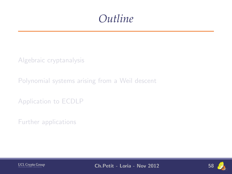#### *Outline*

[Algebraic cryptanalysis](#page-7-0)

[Polynomial systems arising from a Weil descent](#page-35-0)

[Application to ECDLP](#page-73-0)

[Further applications](#page-118-0)



**UCL Crypto Group** Ch.Petit - Loria - Nov 2012 58

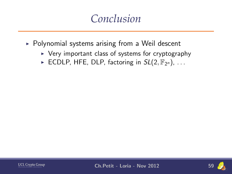#### *Conclusion*

- $\triangleright$  Polynomial systems arising from a Weil descent
	- $\triangleright$  Very important class of systems for cryptography
	- ECDLP, HFE, DLP, factoring in  $SL(2, \mathbb{F}_{2^n})$ , ...



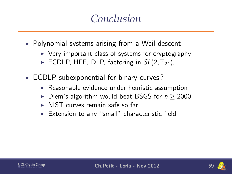#### *Conclusion*

- $\triangleright$  Polynomial systems arising from a Weil descent
	- $\triangleright$  Very important class of systems for cryptography
	- ECDLP, HFE, DLP, factoring in  $SL(2, \mathbb{F}_{2^n})$ , ...
- $\triangleright$  ECDLP subexponential for binary curves?
	- $\triangleright$  Reasonable evidence under heuristic assumption
	- ► Diem's algorithm would beat BSGS for  $n \geq 2000$
	- $\triangleright$  NIST curves remain safe so far
	- $\triangleright$  Extension to any "small" characteristic field

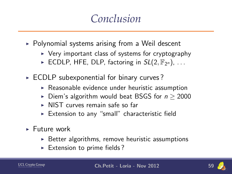#### *Conclusion*

- $\triangleright$  Polynomial systems arising from a Weil descent
	- $\triangleright$  Very important class of systems for cryptography
	- ECDLP, HFE, DLP, factoring in  $SL(2, \mathbb{F}_{2^n})$ , ...
- $\triangleright$  ECDLP subexponential for binary curves?
	- $\triangleright$  Reasonable evidence under heuristic assumption
	- ► Diem's algorithm would beat BSGS for  $n \ge 2000$
	- $\triangleright$  NIST curves remain safe so far
	- $\triangleright$  Extension to any "small" characteristic field
- $\blacktriangleright$  Future work
	- $\triangleright$  Better algorithms, remove heuristic assumptions
	- $\triangleright$  Extension to prime fields?

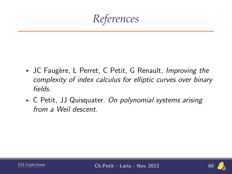*References*

- $\triangleright$  JC Faugère, L Perret, C Petit, G Renault, Improving the complexity of index calculus for elliptic curves over binary fields.
- $\triangleright$  C Petit, JJ Quisquater. On polynomial systems arising from a Weil descent.



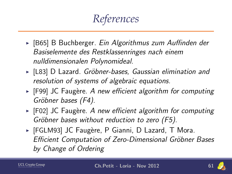*References*

- ► [B65] B Buchberger. Ein Algorithmus zum Auffinden der Basiselemente des Restklassenringes nach einem nulldimensionalen Polynomideal.
- ► [L83] D Lazard. Gröbner-bases, Gaussian elimination and resolution of systems of algebraic equations.
- $\blacktriangleright$  [F99] JC Faugère. A new efficient algorithm for computing Gröbner bases (F4).
- $\blacktriangleright$  [F02] JC Faugère. A new efficient algorithm for computing Gröbner bases without reduction to zero (F5).
- ► [FGLM93] JC Faugère, P Gianni, D Lazard, T Mora. Efficient Computation of Zero-Dimensional Gröbner Bases by Change of Ordering

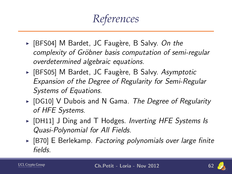## *References*

- ▶ [BFS04] M Bardet, JC Faugère, B Salvy. On the complexity of Gröbner basis computation of semi-regular overdetermined algebraic equations.
- ► [BFS05] M Bardet, JC Faugère, B Salvy. Asymptotic Expansion of the Degree of Regularity for Semi-Regular Systems of Equations.
- $\triangleright$  [DG10] V Dubois and N Gama. The Degree of Regularity of HFE Systems.
- $\triangleright$  [DH11] J Ding and T Hodges. Inverting HFE Systems Is Quasi-Polynomial for All Fields.
- $\triangleright$  [B70] E Berlekamp. Factoring polynomials over large finite fields.

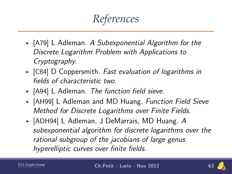*References*

- $\triangleright$  [A79] L Adleman. A Subexponential Algorithm for the Discrete Logarithm Problem with Applications to Cryptography.
- $\triangleright$  [C84] D Coppersmith. Fast evaluation of logarithms in fields of characteristic two.
- $\triangleright$  [A94] L Adleman. The function field sieve.
- ► [AH99] L Adleman and MD Huang. Function Field Sieve Method for Discrete Logarithms over Finite Fields.
- $\triangleright$  [ADH94] L Adleman, J DeMarrais, MD Huang. A subexponential algorithm for discrete logarithms over the rational subgroup of the jacobians of large genus hyperelliptic curves over finite fields.

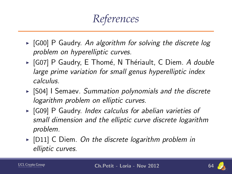*References*

- $\triangleright$  [G00] P Gaudry. An algorithm for solving the discrete log problem on hyperelliptic curves.
- ► [G07] P Gaudry, E Thomé, N Thériault, C Diem. A double large prime variation for small genus hyperelliptic index calculus.
- $\triangleright$  [S04] I Semaev. Summation polynomials and the discrete logarithm problem on elliptic curves.
- $\triangleright$  [G09] P Gaudry. Index calculus for abelian varieties of small dimension and the elliptic curve discrete logarithm problem.
- $\triangleright$  [D11] C Diem. On the discrete logarithm problem in elliptic curves.

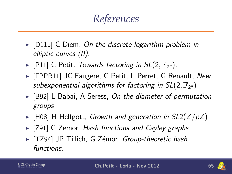*References*

- $\triangleright$  [D11b] C Diem. On the discrete logarithm problem in elliptic curves (II).
- $\blacktriangleright$  [P11] C Petit. Towards factoring in SL(2,  $\mathbb{F}_{2^n}$ ).
- $\triangleright$  [FPPR11] JC Faugère, C Petit, L Perret, G Renault, New subexponential algorithms for factoring in  $SL(2,\mathbb{F}_{2^n})$
- $\triangleright$  [B92] L Babai, A Seress, On the diameter of permutation groups
- $\triangleright$  [H08] H Helfgott, Growth and generation in SL2(Z/pZ)
- $\triangleright$  [Z91] G Zémor. Hash functions and Cayley graphs
- I [TZ94] JP Tillich, G Zémor. Group-theoretic hash functions.